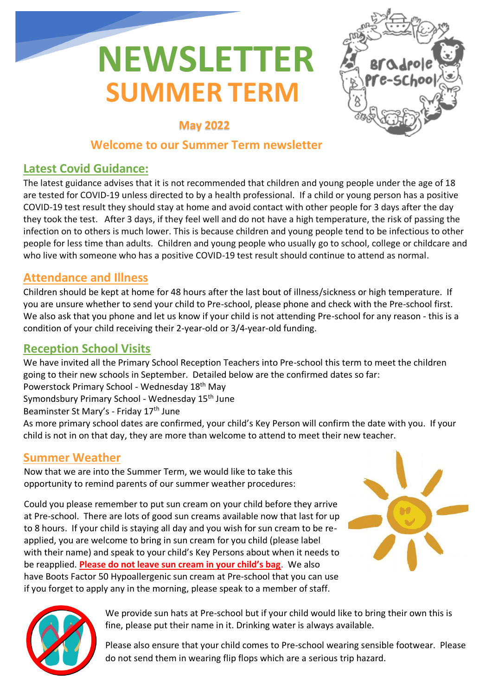# **SUMMER TERM NEWSLETTER**



# **May 2022**

## **Welcome to our Summer Term newsletter**

# **Latest Covid Guidance:**

The latest guidance advises that it is not recommended that children and young people under the age of 18 are tested for COVID-19 unless directed to by a health professional. If a child or young person has a positive COVID-19 test result they should stay at home and avoid contact with other people for 3 days after the day they took the test. After 3 days, if they feel well and do not have a high temperature, the risk of passing the infection on to others is much lower. This is because children and young people tend to be infectious to other people for less time than adults. Children and young people who usually go to school, college or childcare and who live with someone who has a positive COVID-19 test result should continue to attend as normal.

#### **Attendance and Illness**

Children should be kept at home for 48 hours after the last bout of illness/sickness or high temperature. If you are unsure whether to send your child to Pre-school, please phone and check with the Pre-school first. We also ask that you phone and let us know if your child is not attending Pre-school for any reason - this is a condition of your child receiving their 2-year-old or 3/4-year-old funding.

#### **Reception School Visits**

We have invited all the Primary School Reception Teachers into Pre-school this term to meet the children going to their new schools in September. Detailed below are the confirmed dates so far:

Powerstock Primary School - Wednesday 18th May

Symondsbury Primary School - Wednesday 15<sup>th</sup> June

Beaminster St Mary's - Friday 17<sup>th</sup> June

As more primary school dates are confirmed, your child's Key Person will confirm the date with you. If your child is not in on that day, they are more than welcome to attend to meet their new teacher.

# **Summer Weather**

Now that we are into the Summer Term, we would like to take this opportunity to remind parents of our summer weather procedures:

Could you please remember to put sun cream on your child before they arrive at Pre-school. There are lots of good sun creams available now that last for up to 8 hours. If your child is staying all day and you wish for sun cream to be reapplied, you are welcome to bring in sun cream for you child (please label with their name) and speak to your child's Key Persons about when it needs to be reapplied. **Please do not leave sun cream in your child's bag**. We also have Boots Factor 50 Hypoallergenic sun cream at Pre-school that you can use if you forget to apply any in the morning, please speak to a member of staff.





We provide sun hats at Pre-school but if your child would like to bring their own this is fine, please put their name in it. Drinking water is always available.

Please also ensure that your child comes to Pre-school wearing sensible footwear. Please do not send them in wearing flip flops which are a serious trip hazard.